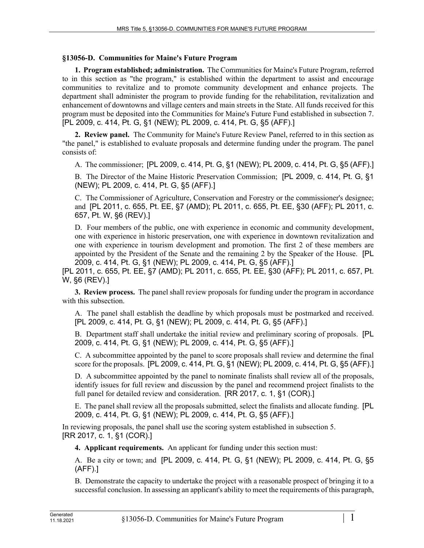## **§13056-D. Communities for Maine's Future Program**

**1. Program established; administration.** The Communities for Maine's Future Program, referred to in this section as "the program," is established within the department to assist and encourage communities to revitalize and to promote community development and enhance projects. The department shall administer the program to provide funding for the rehabilitation, revitalization and enhancement of downtowns and village centers and main streets in the State. All funds received for this program must be deposited into the Communities for Maine's Future Fund established in subsection 7. [PL 2009, c. 414, Pt. G, §1 (NEW); PL 2009, c. 414, Pt. G, §5 (AFF).]

**2. Review panel.** The Community for Maine's Future Review Panel, referred to in this section as "the panel," is established to evaluate proposals and determine funding under the program. The panel consists of:

A. The commissioner; [PL 2009, c. 414, Pt. G, §1 (NEW); PL 2009, c. 414, Pt. G, §5 (AFF).]

B. The Director of the Maine Historic Preservation Commission; [PL 2009, c. 414, Pt. G, §1 (NEW); PL 2009, c. 414, Pt. G, §5 (AFF).]

C. The Commissioner of Agriculture, Conservation and Forestry or the commissioner's designee; and [PL 2011, c. 655, Pt. EE, §7 (AMD); PL 2011, c. 655, Pt. EE, §30 (AFF); PL 2011, c. 657, Pt. W, §6 (REV).]

D. Four members of the public, one with experience in economic and community development, one with experience in historic preservation, one with experience in downtown revitalization and one with experience in tourism development and promotion. The first 2 of these members are appointed by the President of the Senate and the remaining 2 by the Speaker of the House. [PL 2009, c. 414, Pt. G, §1 (NEW); PL 2009, c. 414, Pt. G, §5 (AFF).]

[PL 2011, c. 655, Pt. EE, §7 (AMD); PL 2011, c. 655, Pt. EE, §30 (AFF); PL 2011, c. 657, Pt. W, §6 (REV).]

**3. Review process.** The panel shall review proposals for funding under the program in accordance with this subsection.

A. The panel shall establish the deadline by which proposals must be postmarked and received. [PL 2009, c. 414, Pt. G, §1 (NEW); PL 2009, c. 414, Pt. G, §5 (AFF).]

B. Department staff shall undertake the initial review and preliminary scoring of proposals. [PL 2009, c. 414, Pt. G, §1 (NEW); PL 2009, c. 414, Pt. G, §5 (AFF).]

C. A subcommittee appointed by the panel to score proposals shall review and determine the final score for the proposals. [PL 2009, c. 414, Pt. G, §1 (NEW); PL 2009, c. 414, Pt. G, §5 (AFF).]

D. A subcommittee appointed by the panel to nominate finalists shall review all of the proposals, identify issues for full review and discussion by the panel and recommend project finalists to the full panel for detailed review and consideration. [RR 2017, c. 1, §1 (COR).]

E. The panel shall review all the proposals submitted, select the finalists and allocate funding. [PL 2009, c. 414, Pt. G, §1 (NEW); PL 2009, c. 414, Pt. G, §5 (AFF).]

In reviewing proposals, the panel shall use the scoring system established in subsection 5. [RR 2017, c. 1, §1 (COR).]

**4. Applicant requirements.** An applicant for funding under this section must:

A. Be a city or town; and [PL 2009, c. 414, Pt. G, §1 (NEW); PL 2009, c. 414, Pt. G, §5 (AFF).]

B. Demonstrate the capacity to undertake the project with a reasonable prospect of bringing it to a successful conclusion. In assessing an applicant's ability to meet the requirements of this paragraph,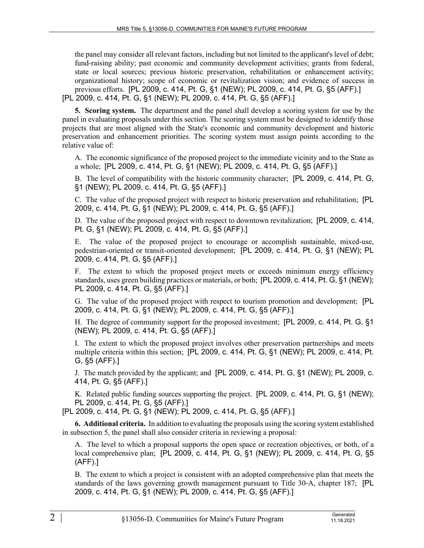the panel may consider all relevant factors, including but not limited to the applicant's level of debt; fund-raising ability; past economic and community development activities; grants from federal, state or local sources; previous historic preservation, rehabilitation or enhancement activity; organizational history; scope of economic or revitalization vision; and evidence of success in previous efforts. [PL 2009, c. 414, Pt. G, §1 (NEW); PL 2009, c. 414, Pt. G, §5 (AFF).] [PL 2009, c. 414, Pt. G, §1 (NEW); PL 2009, c. 414, Pt. G, §5 (AFF).]

**5. Scoring system.** The department and the panel shall develop a scoring system for use by the panel in evaluating proposals under this section. The scoring system must be designed to identify those projects that are most aligned with the State's economic and community development and historic preservation and enhancement priorities. The scoring system must assign points according to the relative value of:

A. The economic significance of the proposed project to the immediate vicinity and to the State as a whole; [PL 2009, c. 414, Pt. G, §1 (NEW); PL 2009, c. 414, Pt. G, §5 (AFF).]

B. The level of compatibility with the historic community character; [PL 2009, c. 414, Pt. G, §1 (NEW); PL 2009, c. 414, Pt. G, §5 (AFF).]

C. The value of the proposed project with respect to historic preservation and rehabilitation; [PL 2009, c. 414, Pt. G, §1 (NEW); PL 2009, c. 414, Pt. G, §5 (AFF).]

D. The value of the proposed project with respect to downtown revitalization; [PL 2009, c. 414, Pt. G, §1 (NEW); PL 2009, c. 414, Pt. G, §5 (AFF).]

E. The value of the proposed project to encourage or accomplish sustainable, mixed-use, pedestrian-oriented or transit-oriented development; [PL 2009, c. 414, Pt. G, §1 (NEW); PL 2009, c. 414, Pt. G, §5 (AFF).]

F. The extent to which the proposed project meets or exceeds minimum energy efficiency standards, uses green building practices or materials, or both; [PL 2009, c. 414, Pt. G, §1 (NEW); PL 2009, c. 414, Pt. G, §5 (AFF).]

G. The value of the proposed project with respect to tourism promotion and development; [PL 2009, c. 414, Pt. G, §1 (NEW); PL 2009, c. 414, Pt. G, §5 (AFF).]

H. The degree of community support for the proposed investment; [PL 2009, c. 414, Pt. G, §1 (NEW); PL 2009, c. 414, Pt. G, §5 (AFF).]

I. The extent to which the proposed project involves other preservation partnerships and meets multiple criteria within this section; [PL 2009, c. 414, Pt. G, §1 (NEW); PL 2009, c. 414, Pt. G, §5 (AFF).]

J. The match provided by the applicant; and [PL 2009, c. 414, Pt. G, §1 (NEW); PL 2009, c. 414, Pt. G, §5 (AFF).]

K. Related public funding sources supporting the project. [PL 2009, c. 414, Pt. G, §1 (NEW); PL 2009, c. 414, Pt. G, §5 (AFF).]

[PL 2009, c. 414, Pt. G, §1 (NEW); PL 2009, c. 414, Pt. G, §5 (AFF).]

**6. Additional criteria.** In addition to evaluating the proposals using the scoring system established in subsection 5, the panel shall also consider criteria in reviewing a proposal:

A. The level to which a proposal supports the open space or recreation objectives, or both, of a local comprehensive plan; [PL 2009, c. 414, Pt. G, §1 (NEW); PL 2009, c. 414, Pt. G, §5 (AFF).]

B. The extent to which a project is consistent with an adopted comprehensive plan that meets the standards of the laws governing growth management pursuant to Title 30‑A, chapter 187; [PL 2009, c. 414, Pt. G, §1 (NEW); PL 2009, c. 414, Pt. G, §5 (AFF).]